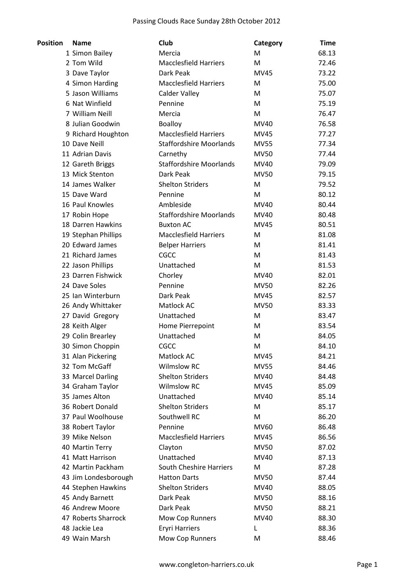| <b>Position</b> | <b>Name</b>                        | Club                           | Category    | <b>Time</b> |
|-----------------|------------------------------------|--------------------------------|-------------|-------------|
|                 | 1 Simon Bailey                     | Mercia                         | M           | 68.13       |
|                 | 2 Tom Wild                         | <b>Macclesfield Harriers</b>   | M           | 72.46       |
|                 | 3 Dave Taylor                      | Dark Peak                      | <b>MV45</b> | 73.22       |
|                 | 4 Simon Harding                    | <b>Macclesfield Harriers</b>   | M           | 75.00       |
|                 | 5 Jason Williams                   | <b>Calder Valley</b>           | М           | 75.07       |
|                 | 6 Nat Winfield                     | Pennine                        | M           | 75.19       |
|                 | 7 William Neill                    | Mercia                         | M           | 76.47       |
|                 | 8 Julian Goodwin                   | <b>Boalloy</b>                 | MV40        | 76.58       |
|                 | 9 Richard Houghton                 | <b>Macclesfield Harriers</b>   | MV45        | 77.27       |
|                 | 10 Dave Neill                      | <b>Staffordshire Moorlands</b> | <b>MV55</b> | 77.34       |
|                 | 11 Adrian Davis                    | Carnethy                       | <b>MV50</b> | 77.44       |
|                 | 12 Gareth Briggs                   | <b>Staffordshire Moorlands</b> | MV40        | 79.09       |
|                 | 13 Mick Stenton                    | Dark Peak                      | <b>MV50</b> | 79.15       |
|                 | 14 James Walker                    | <b>Shelton Striders</b>        | M           | 79.52       |
|                 | 15 Dave Ward                       | Pennine                        | M           | 80.12       |
|                 | 16 Paul Knowles                    | Ambleside                      | <b>MV40</b> | 80.44       |
|                 | 17 Robin Hope                      | <b>Staffordshire Moorlands</b> | MV40        | 80.48       |
|                 | 18 Darren Hawkins                  | <b>Buxton AC</b>               | <b>MV45</b> | 80.51       |
|                 | 19 Stephan Phillips                | <b>Macclesfield Harriers</b>   | М           | 81.08       |
|                 | 20 Edward James                    | <b>Belper Harriers</b>         | М           | 81.41       |
|                 | 21 Richard James                   | <b>CGCC</b>                    | M           | 81.43       |
|                 | 22 Jason Phillips                  | Unattached                     | M           | 81.53       |
|                 | 23 Darren Fishwick                 | Chorley                        | MV40        | 82.01       |
|                 | 24 Dave Soles                      | Pennine                        | <b>MV50</b> | 82.26       |
|                 | 25 Ian Winterburn                  | Dark Peak                      | <b>MV45</b> | 82.57       |
|                 | 26 Andy Whittaker                  | Matlock AC                     | <b>MV50</b> | 83.33       |
|                 | 27 David Gregory                   | Unattached                     | M           | 83.47       |
|                 | 28 Keith Alger                     | Home Pierrepoint               | М           | 83.54       |
|                 | 29 Colin Brearley                  | Unattached                     | М           | 84.05       |
|                 | 30 Simon Choppin                   | CGCC                           | M           | 84.10       |
|                 | 31 Alan Pickering                  | Matlock AC                     | MV45        | 84.21       |
|                 | 32 Tom McGaff                      | <b>Wilmslow RC</b>             | <b>MV55</b> | 84.46       |
|                 | 33 Marcel Darling                  | <b>Shelton Striders</b>        | MV40        | 84.48       |
|                 | 34 Graham Taylor                   | <b>Wilmslow RC</b>             | <b>MV45</b> | 85.09       |
|                 | 35 James Alton                     | Unattached                     | MV40        | 85.14       |
|                 | 36 Robert Donald                   | <b>Shelton Striders</b>        | М           | 85.17       |
|                 | 37 Paul Woolhouse                  | Southwell RC                   | M           | 86.20       |
|                 | 38 Robert Taylor                   | Pennine                        | MV60        | 86.48       |
|                 | 39 Mike Nelson                     | <b>Macclesfield Harriers</b>   | MV45        | 86.56       |
|                 | 40 Martin Terry                    | Clayton                        | MV50        | 87.02       |
|                 | 41 Matt Harrison                   | Unattached                     | MV40        | 87.13       |
|                 | 42 Martin Packham                  | <b>South Cheshire Harriers</b> | M           | 87.28       |
|                 | 43 Jim Londesborough               | <b>Hatton Darts</b>            | MV50        | 87.44       |
|                 |                                    | <b>Shelton Striders</b>        | MV40        |             |
|                 | 44 Stephen Hawkins                 | Dark Peak                      |             | 88.05       |
|                 | 45 Andy Barnett<br>46 Andrew Moore |                                | MV50        | 88.16       |
|                 |                                    | Dark Peak                      | <b>MV50</b> | 88.21       |
|                 | 47 Roberts Sharrock                | Mow Cop Runners                | MV40        | 88.30       |
|                 | 48 Jackie Lea                      | <b>Eryri Harriers</b>          | L           | 88.36       |
|                 | 49 Wain Marsh                      | Mow Cop Runners                | Μ           | 88.46       |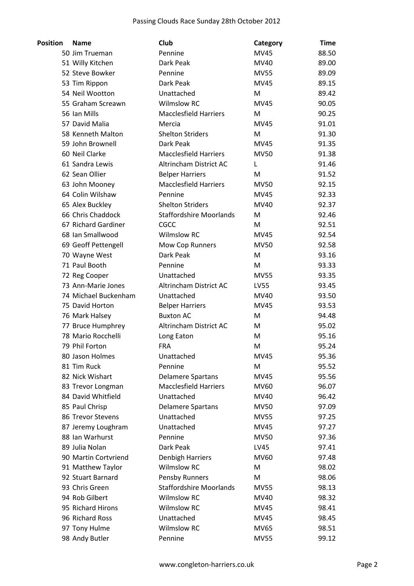| <b>Position</b> | <b>Name</b>          | <b>Club</b>                                   | Category    | <b>Time</b> |
|-----------------|----------------------|-----------------------------------------------|-------------|-------------|
|                 | 50 Jim Trueman       | Pennine                                       | <b>MV45</b> | 88.50       |
|                 | 51 Willy Kitchen     | Dark Peak                                     | MV40        | 89.00       |
|                 | 52 Steve Bowker      | Pennine                                       | <b>MV55</b> | 89.09       |
|                 | 53 Tim Rippon        | Dark Peak                                     | <b>MV45</b> | 89.15       |
|                 | 54 Neil Wootton      | Unattached                                    | M           | 89.42       |
|                 | 55 Graham Screawn    | <b>Wilmslow RC</b>                            | <b>MV45</b> | 90.05       |
|                 | 56 Ian Mills         | <b>Macclesfield Harriers</b>                  | М           | 90.25       |
|                 | 57 David Malia       | Mercia                                        | <b>MV45</b> | 91.01       |
|                 | 58 Kenneth Malton    | <b>Shelton Striders</b>                       | M           | 91.30       |
|                 | 59 John Brownell     | Dark Peak                                     | MV45        | 91.35       |
|                 | 60 Neil Clarke       | <b>Macclesfield Harriers</b>                  | <b>MV50</b> | 91.38       |
|                 | 61 Sandra Lewis      | Altrincham District AC                        | L           | 91.46       |
|                 | 62 Sean Ollier       | <b>Belper Harriers</b>                        | M           | 91.52       |
|                 | 63 John Mooney       | <b>Macclesfield Harriers</b>                  | <b>MV50</b> | 92.15       |
|                 | 64 Colin Wilshaw     | Pennine                                       | <b>MV45</b> | 92.33       |
|                 | 65 Alex Buckley      | <b>Shelton Striders</b>                       | MV40        | 92.37       |
|                 | 66 Chris Chaddock    | <b>Staffordshire Moorlands</b>                | M           | 92.46       |
|                 | 67 Richard Gardiner  | CGCC                                          | M           | 92.51       |
|                 | 68 Ian Smallwood     | <b>Wilmslow RC</b>                            | MV45        | 92.54       |
|                 | 69 Geoff Pettengell  | Mow Cop Runners                               | <b>MV50</b> | 92.58       |
|                 | 70 Wayne West        | Dark Peak                                     | M           | 93.16       |
|                 | 71 Paul Booth        | Pennine                                       | M           | 93.33       |
|                 | 72 Reg Cooper        | Unattached                                    | <b>MV55</b> | 93.35       |
|                 | 73 Ann-Marie Jones   | Altrincham District AC                        | LV55        | 93.45       |
|                 | 74 Michael Buckenham | Unattached                                    | MV40        | 93.50       |
|                 | 75 David Horton      | <b>Belper Harriers</b>                        | MV45        | 93.53       |
|                 | 76 Mark Halsey       | <b>Buxton AC</b>                              | M           | 94.48       |
|                 | 77 Bruce Humphrey    | Altrincham District AC                        | M           | 95.02       |
|                 | 78 Mario Rocchelli   | Long Eaton                                    | M           | 95.16       |
|                 | 79 Phil Forton       | <b>FRA</b>                                    | M           | 95.24       |
|                 | 80 Jason Holmes      | Unattached                                    | <b>MV45</b> | 95.36       |
|                 | 81 Tim Ruck          | Pennine                                       | M           | 95.52       |
|                 | 82 Nick Wishart      | <b>Delamere Spartans</b>                      | MV45        | 95.56       |
|                 | 83 Trevor Longman    | <b>Macclesfield Harriers</b>                  | MV60        | 96.07       |
|                 | 84 David Whitfield   | Unattached                                    | MV40        | 96.42       |
|                 | 85 Paul Chrisp       | <b>Delamere Spartans</b>                      | <b>MV50</b> | 97.09       |
|                 | 86 Trevor Stevens    | Unattached                                    | <b>MV55</b> | 97.25       |
|                 | 87 Jeremy Loughram   | Unattached                                    | MV45        | 97.27       |
|                 | 88 Ian Warhurst      | Pennine                                       | <b>MV50</b> | 97.36       |
|                 | 89 Julia Nolan       | Dark Peak                                     |             |             |
|                 | 90 Martin Cortvriend |                                               | LV45        | 97.41       |
|                 |                      | <b>Denbigh Harriers</b><br><b>Wilmslow RC</b> | MV60<br>M   | 97.48       |
|                 | 91 Matthew Taylor    |                                               |             | 98.02       |
|                 | 92 Stuart Barnard    | Pensby Runners                                | M           | 98.06       |
|                 | 93 Chris Green       | <b>Staffordshire Moorlands</b>                | <b>MV55</b> | 98.13       |
|                 | 94 Rob Gilbert       | <b>Wilmslow RC</b>                            | MV40        | 98.32       |
|                 | 95 Richard Hirons    | <b>Wilmslow RC</b>                            | MV45        | 98.41       |
|                 | 96 Richard Ross      | Unattached                                    | MV45        | 98.45       |
|                 | 97 Tony Hulme        | <b>Wilmslow RC</b>                            | MV65        | 98.51       |
|                 | 98 Andy Butler       | Pennine                                       | <b>MV55</b> | 99.12       |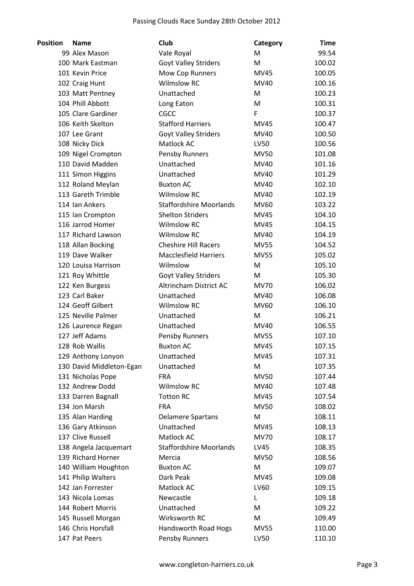| <b>Position</b> | <b>Name</b>                             | Club                           | Category    | <b>Time</b>      |
|-----------------|-----------------------------------------|--------------------------------|-------------|------------------|
|                 | 99 Alex Mason                           | Vale Royal                     | M           | 99.54            |
|                 | 100 Mark Eastman                        | Goyt Valley Striders           | M           | 100.02           |
|                 | 101 Kevin Price                         | Mow Cop Runners                | <b>MV45</b> | 100.05           |
|                 | 102 Craig Hunt                          | <b>Wilmslow RC</b>             | MV40        | 100.16           |
|                 | 103 Matt Pentney                        | Unattached                     | M           | 100.23           |
|                 | 104 Phill Abbott                        | Long Eaton                     | M           | 100.31           |
|                 | 105 Clare Gardiner                      | CGCC                           | F           | 100.37           |
|                 | 106 Keith Skelton                       | <b>Stafford Harriers</b>       | <b>MV45</b> | 100.47           |
|                 | 107 Lee Grant                           | <b>Goyt Valley Striders</b>    | MV40        | 100.50           |
|                 | 108 Nicky Dick                          | Matlock AC                     | LV50        | 100.56           |
|                 | 109 Nigel Crompton                      | Pensby Runners                 | <b>MV50</b> | 101.08           |
|                 | 110 David Madden                        | Unattached                     | MV40        | 101.16           |
|                 | 111 Simon Higgins                       | Unattached                     | MV40        | 101.29           |
|                 | 112 Roland Meylan                       | <b>Buxton AC</b>               | MV40        | 102.10           |
|                 | 113 Gareth Trimble                      | <b>Wilmslow RC</b>             | MV40        | 102.19           |
|                 | 114 Ian Ankers                          | <b>Staffordshire Moorlands</b> | MV60        | 103.22           |
|                 | 115 Ian Crompton                        | <b>Shelton Striders</b>        | <b>MV45</b> | 104.10           |
|                 | 116 Jarrod Homer                        | <b>Wilmslow RC</b>             | <b>MV45</b> | 104.15           |
|                 | 117 Richard Lawson                      | <b>Wilmslow RC</b>             | MV40        | 104.19           |
|                 | 118 Allan Bocking                       | <b>Cheshire Hill Racers</b>    | <b>MV55</b> | 104.52           |
|                 | 119 Dave Walker                         | <b>Macclesfield Harriers</b>   | <b>MV55</b> | 105.02           |
|                 | 120 Louisa Harrison                     | Wilmslow                       | M           | 105.10           |
|                 | 121 Roy Whittle                         | <b>Goyt Valley Striders</b>    | M           | 105.30           |
|                 | 122 Ken Burgess                         | Altrincham District AC         | <b>MV70</b> | 106.02           |
|                 | 123 Carl Baker                          | Unattached                     | MV40        | 106.08           |
|                 | 124 Geoff Gilbert                       | <b>Wilmslow RC</b>             | MV60        | 106.10           |
|                 | 125 Neville Palmer                      | Unattached                     | M           | 106.21           |
|                 | 126 Laurence Regan                      | Unattached                     | MV40        | 106.55           |
|                 | 127 Jeff Adams                          | <b>Pensby Runners</b>          | <b>MV55</b> | 107.10           |
|                 | 128 Rob Wallis                          | <b>Buxton AC</b>               | <b>MV45</b> | 107.15           |
|                 | 129 Anthony Lonyon                      | Unattached                     | MV45        | 107.31           |
|                 | 130 David Middleton-Egan                | Unattached                     | M           | 107.35           |
|                 | 131 Nicholas Pope                       | <b>FRA</b>                     | <b>MV50</b> | 107.44           |
|                 | 132 Andrew Dodd                         | <b>Wilmslow RC</b>             | MV40        | 107.48           |
|                 | 133 Darren Bagnall                      | <b>Totton RC</b>               | MV45        | 107.54           |
|                 | 134 Jon Marsh                           | <b>FRA</b>                     | <b>MV50</b> | 108.02           |
|                 | 135 Alan Harding                        | <b>Delamere Spartans</b>       | M           | 108.11           |
|                 | 136 Gary Atkinson                       | Unattached                     | MV45        | 108.13           |
|                 | 137 Clive Russell                       | Matlock AC                     | <b>MV70</b> | 108.17           |
|                 | 138 Angela Jacquemart                   | <b>Staffordshire Moorlands</b> | LV45        | 108.35           |
|                 | 139 Richard Horner                      | Mercia                         | <b>MV50</b> |                  |
|                 | 140 William Houghton                    | <b>Buxton AC</b>               | M           | 108.56<br>109.07 |
|                 |                                         | Dark Peak                      |             |                  |
|                 | 141 Philip Walters<br>142 Jan Forrester | Matlock AC                     | MV45        | 109.08           |
|                 |                                         |                                | LV60        | 109.15           |
|                 | 143 Nicola Lomas                        | Newcastle                      | L           | 109.18           |
|                 | 144 Robert Morris                       | Unattached                     | M           | 109.22           |
|                 | 145 Russell Morgan                      | Wirksworth RC                  | M           | 109.49           |
|                 | 146 Chris Horsfall                      | Handsworth Road Hogs           | <b>MV55</b> | 110.00           |
|                 | 147 Pat Peers                           | Pensby Runners                 | LV50        | 110.10           |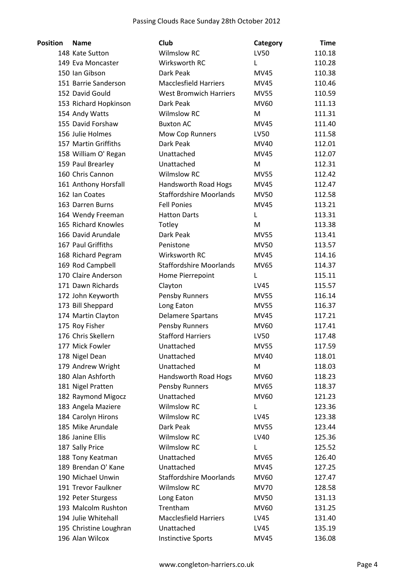| <b>Position</b> | <b>Name</b>            | <b>Club</b>                    | Category    | <b>Time</b> |
|-----------------|------------------------|--------------------------------|-------------|-------------|
|                 | 148 Kate Sutton        | <b>Wilmslow RC</b>             | <b>LV50</b> | 110.18      |
|                 | 149 Eva Moncaster      | Wirksworth RC                  | L           | 110.28      |
|                 | 150 Ian Gibson         | Dark Peak                      | <b>MV45</b> | 110.38      |
|                 | 151 Barrie Sanderson   | <b>Macclesfield Harriers</b>   | <b>MV45</b> | 110.46      |
|                 | 152 David Gould        | <b>West Bromwich Harriers</b>  | <b>MV55</b> | 110.59      |
|                 | 153 Richard Hopkinson  | Dark Peak                      | <b>MV60</b> | 111.13      |
|                 | 154 Andy Watts         | <b>Wilmslow RC</b>             | М           | 111.31      |
|                 | 155 David Forshaw      | <b>Buxton AC</b>               | <b>MV45</b> | 111.40      |
|                 | 156 Julie Holmes       | <b>Mow Cop Runners</b>         | LV50        | 111.58      |
|                 | 157 Martin Griffiths   | Dark Peak                      | MV40        | 112.01      |
|                 | 158 William O' Regan   | Unattached                     | <b>MV45</b> | 112.07      |
|                 | 159 Paul Brearley      | Unattached                     | M           | 112.31      |
|                 | 160 Chris Cannon       | <b>Wilmslow RC</b>             | <b>MV55</b> | 112.42      |
|                 | 161 Anthony Horsfall   | Handsworth Road Hogs           | MV45        | 112.47      |
|                 | 162 Ian Coates         | <b>Staffordshire Moorlands</b> | <b>MV50</b> | 112.58      |
|                 | 163 Darren Burns       | <b>Fell Ponies</b>             | <b>MV45</b> | 113.21      |
|                 | 164 Wendy Freeman      | <b>Hatton Darts</b>            | L           | 113.31      |
|                 | 165 Richard Knowles    | Totley                         | M           | 113.38      |
|                 | 166 David Arundale     | Dark Peak                      | <b>MV55</b> | 113.41      |
|                 | 167 Paul Griffiths     | Penistone                      | <b>MV50</b> | 113.57      |
|                 | 168 Richard Pegram     | Wirksworth RC                  | <b>MV45</b> | 114.16      |
|                 | 169 Rod Campbell       | <b>Staffordshire Moorlands</b> | <b>MV65</b> | 114.37      |
|                 | 170 Claire Anderson    | Home Pierrepoint               | L           | 115.11      |
|                 | 171 Dawn Richards      | Clayton                        | LV45        | 115.57      |
|                 | 172 John Keyworth      | Pensby Runners                 | <b>MV55</b> | 116.14      |
|                 | 173 Bill Sheppard      | Long Eaton                     | <b>MV55</b> | 116.37      |
|                 | 174 Martin Clayton     | <b>Delamere Spartans</b>       | <b>MV45</b> | 117.21      |
|                 | 175 Roy Fisher         | Pensby Runners                 | <b>MV60</b> | 117.41      |
|                 | 176 Chris Skellern     | <b>Stafford Harriers</b>       | LV50        | 117.48      |
|                 | 177 Mick Fowler        | Unattached                     | <b>MV55</b> | 117.59      |
|                 | 178 Nigel Dean         | Unattached                     | MV40        | 118.01      |
|                 | 179 Andrew Wright      | Unattached                     | M           | 118.03      |
|                 | 180 Alan Ashforth      | Handsworth Road Hogs           | MV60        | 118.23      |
|                 | 181 Nigel Pratten      | Pensby Runners                 | MV65        | 118.37      |
|                 | 182 Raymond Migocz     | Unattached                     | MV60        | 121.23      |
|                 | 183 Angela Maziere     | <b>Wilmslow RC</b>             | L           | 123.36      |
|                 | 184 Carolyn Hirons     | <b>Wilmslow RC</b>             | LV45        | 123.38      |
|                 | 185 Mike Arundale      | Dark Peak                      | <b>MV55</b> | 123.44      |
|                 | 186 Janine Ellis       | <b>Wilmslow RC</b>             | LV40        | 125.36      |
|                 | 187 Sally Price        | <b>Wilmslow RC</b>             | L           | 125.52      |
|                 | 188 Tony Keatman       | Unattached                     | MV65        | 126.40      |
|                 | 189 Brendan O' Kane    | Unattached                     | MV45        | 127.25      |
|                 | 190 Michael Unwin      | <b>Staffordshire Moorlands</b> | MV60        | 127.47      |
|                 | 191 Trevor Faulkner    | <b>Wilmslow RC</b>             | <b>MV70</b> | 128.58      |
|                 | 192 Peter Sturgess     | Long Eaton                     | <b>MV50</b> | 131.13      |
|                 | 193 Malcolm Rushton    | Trentham                       | MV60        | 131.25      |
|                 | 194 Julie Whitehall    | <b>Macclesfield Harriers</b>   | LV45        | 131.40      |
|                 | 195 Christine Loughran | Unattached                     | LV45        | 135.19      |
|                 | 196 Alan Wilcox        | <b>Instinctive Sports</b>      | <b>MV45</b> | 136.08      |
|                 |                        |                                |             |             |